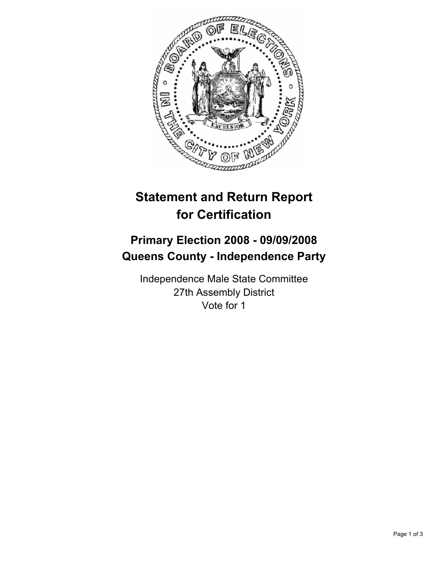

## **Statement and Return Report for Certification**

## **Primary Election 2008 - 09/09/2008 Queens County - Independence Party**

Independence Male State Committee 27th Assembly District Vote for 1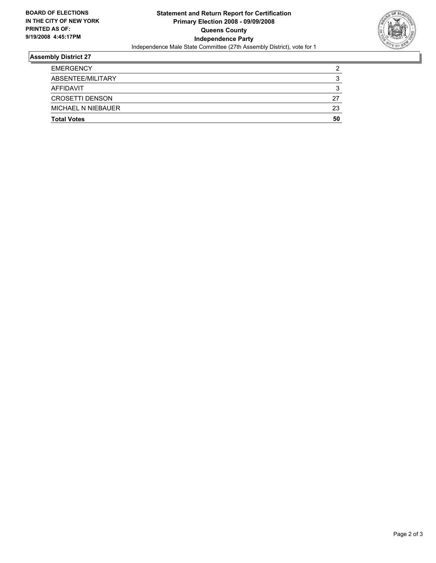

## **Assembly District 27**

| <b>EMERGENCY</b>          | ◠  |
|---------------------------|----|
| ABSENTEE/MILITARY         |    |
| AFFIDAVIT                 |    |
| <b>CROSETTI DENSON</b>    | 27 |
| <b>MICHAEL N NIEBAUER</b> | 23 |
| <b>Total Votes</b>        | 50 |